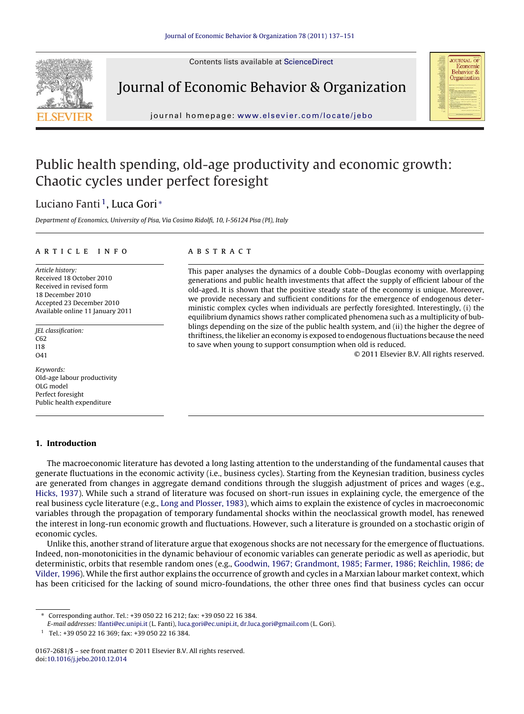Contents lists available at [ScienceDirect](http://www.sciencedirect.com/science/journal/01672681)



Journal of Economic Behavior & Organization



journal homepage: [www.elsevier.com/locate/jebo](http://www.elsevier.com/locate/jebo)

## Public health spending, old-age productivity and economic growth: Chaotic cycles under perfect foresight

### Luciano Fanti<sup>1</sup>, Luca Gori<sup>\*</sup>

Department of Economics, University of Pisa, Via Cosimo Ridolfi, 10, I-56124 Pisa (PI), Italy

#### article info

Article history: Received 18 October 2010 Received in revised form 18 December 2010 Accepted 23 December 2010 Available online 11 January 2011

JEL classification:  $CG2$ I18  $041$ 

Keywords: Old-age labour productivity OLG model Perfect foresight Public health expenditure

#### **1. Introduction**

#### ABSTRACT

This paper analyses the dynamics of a double Cobb–Douglas economy with overlapping generations and public health investments that affect the supply of efficient labour of the old-aged. It is shown that the positive steady state of the economy is unique. Moreover, we provide necessary and sufficient conditions for the emergence of endogenous deterministic complex cycles when individuals are perfectly foresighted. Interestingly, (i) the equilibrium dynamics shows rather complicated phenomena such as a multiplicity of bubblings depending on the size of the public health system, and (ii) the higher the degree of thriftiness, the likelier an economy is exposed to endogenous fluctuations because the need to save when young to support consumption when old is reduced.

© 2011 Elsevier B.V. All rights reserved.

The macroeconomic literature has devoted a long lasting attention to the understanding of the fundamental causes that generate fluctuations in the economic activity (i.e., business cycles). Starting from the Keynesian tradition, business cycles are generated from changes in aggregate demand conditions through the sluggish adjustment of prices and wages (e.g., [Hicks, 1937\).](#page--1-0) While such a strand of literature was focused on short-run issues in explaining cycle, the emergence of the real business cycle literature (e.g., [Long and Plosser, 1983\),](#page--1-0) which aims to explain the existence of cycles in macroeconomic variables through the propagation of temporary fundamental shocks within the neoclassical growth model, has renewed the interest in long-run economic growth and fluctuations. However, such a literature is grounded on a stochastic origin of economic cycles.

Unlike this, another strand of literature argue that exogenous shocks are not necessary for the emergence of fluctuations. Indeed, non-monotonicities in the dynamic behaviour of economic variables can generate periodic as well as aperiodic, but deterministic, orbits that resemble random ones (e.g., [Goodwin, 1967; Grandmont, 1985; Farmer, 1986; Reichlin, 1986; de](#page--1-0) [Vilder, 1996\).](#page--1-0) While the first author explains the occurrence of growth and cycles in a Marxian labour market context, which has been criticised for the lacking of sound micro-foundations, the other three ones find that business cycles can occur

∗ Corresponding author. Tel.: +39 050 22 16 212; fax: +39 050 22 16 384.

E-mail addresses: [lfanti@ec.unipi.it](mailto:lfanti@ec.unipi.it) (L. Fanti), [luca.gori@ec.unipi.it,](mailto:luca.gori@ec.unipi.it) [dr.luca.gori@gmail.com](mailto:dr.luca.gori@gmail.com) (L. Gori).

<sup>1</sup> Tel.: +39 050 22 16 369; fax: +39 050 22 16 384.

<sup>0167-2681/\$ –</sup> see front matter © 2011 Elsevier B.V. All rights reserved. doi:[10.1016/j.jebo.2010.12.014](dx.doi.org/10.1016/j.jebo.2010.12.014)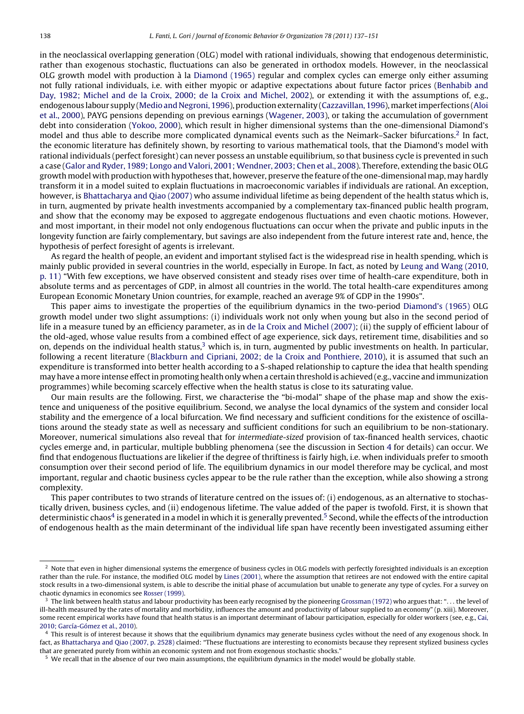in the neoclassical overlapping generation (OLG) model with rational individuals, showing that endogenous deterministic, rather than exogenous stochastic, fluctuations can also be generated in orthodox models. However, in the neoclassical OLG growth model with production à la [Diamond \(1965\)](#page--1-0) regular and complex cycles can emerge only either assuming not fully rational individuals, i.e. with either myopic or adaptive expectations about future factor prices [\(Benhabib and](#page--1-0) [Day, 1982; Michel and de la Croix, 2000; de la Croix and Michel, 2002\),](#page--1-0) or extending it with the assumptions of, e.g., endogenous labour supply ([Medio and Negroni, 1996\),](#page--1-0) production externality ([Cazzavillan, 1996\),](#page--1-0) market imperfections [\(Aloi](#page--1-0) [et al., 2000\),](#page--1-0) PAYG pensions depending on previous earnings [\(Wagener, 2003\),](#page--1-0) or taking the accumulation of government debt into consideration [\(Yokoo, 2000\),](#page--1-0) which result in higher dimensional systems than the one-dimensional Diamond's model and thus able to describe more complicated dynamical events such as the Neimark–Sacker bifurcations.<sup>2</sup> In fact, the economic literature has definitely shown, by resorting to various mathematical tools, that the Diamond's model with rational individuals (perfect foresight) can never possess an unstable equilibrium, so that business cycle is prevented in such a case [\(Galor and Ryder, 1989; Longo and Valori, 2001; Wendner, 2003; Chen et al., 2008\).](#page--1-0) Therefore, extending the basic OLG growth model with production with hypotheses that, however, preserve the feature of the one-dimensional map, may hardly transform it in a model suited to explain fluctuations in macroeconomic variables if individuals are rational. An exception, however, is [Bhattacharya and Qiao \(2007\)](#page--1-0) who assume individual lifetime as being dependent of the health status which is, in turn, augmented by private health investments accompanied by a complementary tax-financed public health program, and show that the economy may be exposed to aggregate endogenous fluctuations and even chaotic motions. However, and most important, in their model not only endogenous fluctuations can occur when the private and public inputs in the longevity function are fairly complementary, but savings are also independent from the future interest rate and, hence, the hypothesis of perfect foresight of agents is irrelevant.

As regard the health of people, an evident and important stylised fact is the widespread rise in health spending, which is mainly public provided in several countries in the world, especially in Europe. In fact, as noted by [Leung and Wang \(2010,](#page--1-0) [p. 11\)](#page--1-0) "With few exceptions, we have observed consistent and steady rises over time of health-care expenditure, both in absolute terms and as percentages of GDP, in almost all countries in the world. The total health-care expenditures among European Economic Monetary Union countries, for example, reached an average 9% of GDP in the 1990s".

This paper aims to investigate the properties of the equilibrium dynamics in the two-period [Diamond's \(1965\)](#page--1-0) OLG growth model under two slight assumptions: (i) individuals work not only when young but also in the second period of life in a measure tuned by an efficiency parameter, as in [de la Croix and Michel \(2007\);](#page--1-0) (ii) the supply of efficient labour of the old-aged, whose value results from a combined effect of age experience, sick days, retirement time, disabilities and so on, depends on the individual health status, $3$  which is, in turn, augmented by public investments on health. In particular, following a recent literature [\(Blackburn and Cipriani, 2002; de la Croix and Ponthiere, 2010\),](#page--1-0) it is assumed that such an expenditure is transformed into better health according to a S-shaped relationship to capture the idea that health spending may have a more intense effect in promoting health only when a certain threshold is achieved (e.g., vaccine and immunization programmes) while becoming scarcely effective when the health status is close to its saturating value.

Our main results are the following. First, we characterise the "bi-modal" shape of the phase map and show the existence and uniqueness of the positive equilibrium. Second, we analyse the local dynamics of the system and consider local stability and the emergence of a local bifurcation. We find necessary and sufficient conditions for the existence of oscillations around the steady state as well as necessary and sufficient conditions for such an equilibrium to be non-stationary. Moreover, numerical simulations also reveal that for intermediate-sized provision of tax-financed health services, chaotic cycles emerge and, in particular, multiple bubbling phenomena (see the discussion in Section [4](#page--1-0) for details) can occur. We find that endogenous fluctuations are likelier if the degree of thriftiness is fairly high, i.e. when individuals prefer to smooth consumption over their second period of life. The equilibrium dynamics in our model therefore may be cyclical, and most important, regular and chaotic business cycles appear to be the rule rather than the exception, while also showing a strong complexity.

This paper contributes to two strands of literature centred on the issues of: (i) endogenous, as an alternative to stochastically driven, business cycles, and (ii) endogenous lifetime. The value added of the paper is twofold. First, it is shown that deterministic chaos<sup>4</sup> is generated in a model in which it is generally prevented.<sup>5</sup> Second, while the effects of the introduction of endogenous health as the main determinant of the individual life span have recently been investigated assuming either

 $<sup>2</sup>$  Note that even in higher dimensional systems the emergence of business cycles in OLG models with perfectly foresighted individuals is an exception</sup> rather than the rule. For instance, the modified OLG model by [Lines \(2001\), w](#page--1-0)here the assumption that retirees are not endowed with the entire capital stock results in a two-dimensional system, is able to describe the initial phase of accumulation but unable to generate any type of cycles. For a survey on chaotic dynamics in economics see [Rosser \(1999\).](#page--1-0)

The link between health status and labour productivity has been early recognised by the pioneering [Grossman \(1972\)](#page--1-0) who argues that: "... the level of ill-health measured by the rates of mortality and morbidity, influences the amount and productivity of labour supplied to an economy" (p. xiii). Moreover, some recent empirical works have found that health status is an important determinant of labour participation, especially for older workers (see, e.g., [Cai,](#page--1-0) [2010; García-Gómez et al., 2010\).](#page--1-0)

<sup>4</sup> This result is of interest because it shows that the equilibrium dynamics may generate business cycles without the need of any exogenous shock. In fact, as [Bhattacharya and Qiao \(2007, p. 2528\)](#page--1-0) claimed: "These fluctuations are interesting to economists because they represent stylized business cycles that are generated purely from within an economic system and not from exogenous stochastic shocks."

<sup>&</sup>lt;sup>5</sup> We recall that in the absence of our two main assumptions, the equilibrium dynamics in the model would be globally stable.